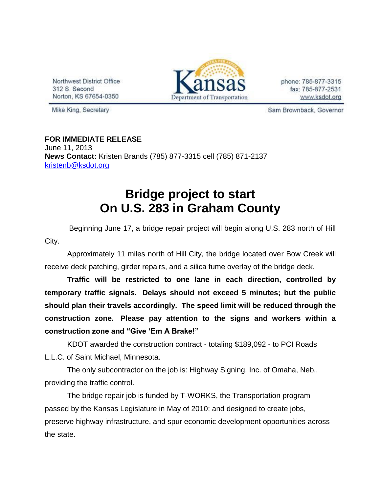Northwest District Office 312 S. Second Norton, KS 67654-0350



phone: 785-877-3315 fax: 785-877-2531 www.ksdot.org

Mike King, Secretary

Sam Brownback, Governor

**FOR IMMEDIATE RELEASE** June 11, 2013 **News Contact:** Kristen Brands (785) 877-3315 cell (785) 871-2137 [kristenb@ksdot.org](mailto:kristenb@ksdot.org)

## **Bridge project to start On U.S. 283 in Graham County**

 Beginning June 17, a bridge repair project will begin along U.S. 283 north of Hill City.

Approximately 11 miles north of Hill City, the bridge located over Bow Creek will receive deck patching, girder repairs, and a silica fume overlay of the bridge deck.

**Traffic will be restricted to one lane in each direction, controlled by temporary traffic signals. Delays should not exceed 5 minutes; but the public should plan their travels accordingly. The speed limit will be reduced through the construction zone. Please pay attention to the signs and workers within a construction zone and "Give 'Em A Brake!"**

KDOT awarded the construction contract - totaling \$189,092 - to PCI Roads L.L.C. of Saint Michael, Minnesota.

The only subcontractor on the job is: Highway Signing, Inc. of Omaha, Neb., providing the traffic control.

The bridge repair job is funded by T-WORKS, the Transportation program passed by the Kansas Legislature in May of 2010; and designed to create jobs, preserve highway infrastructure, and spur economic development opportunities across the state.